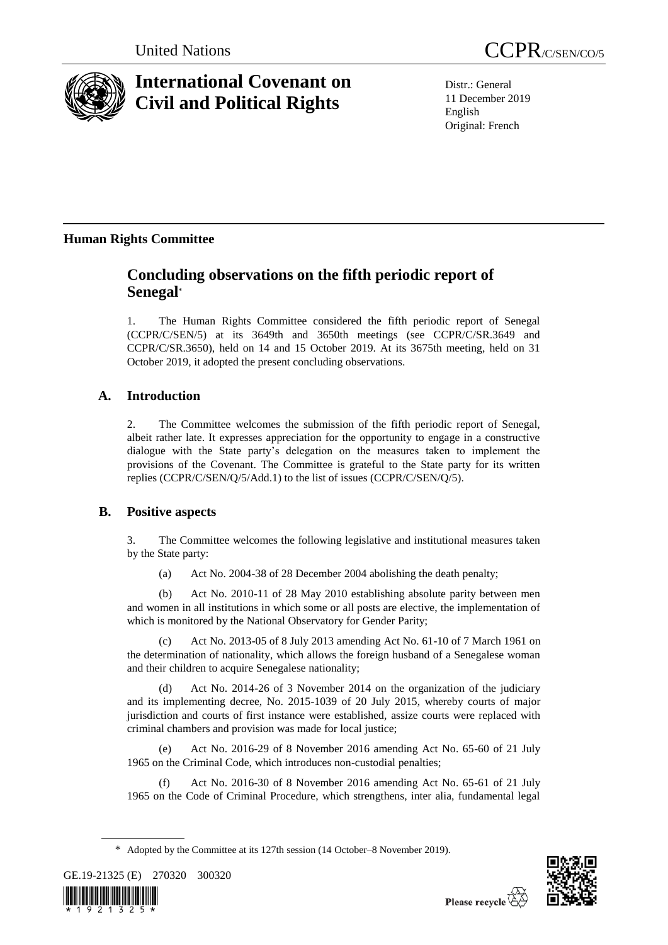

# **International Covenant on Civil and Political Rights**

Distr.: General 11 December 2019 English Original: French

## **Human Rights Committee**

## **Concluding observations on the fifth periodic report of Senegal**\*

1. The Human Rights Committee considered the fifth periodic report of Senegal (CCPR/C/SEN/5) at its 3649th and 3650th meetings (see CCPR/C/SR.3649 and CCPR/C/SR.3650), held on 14 and 15 October 2019. At its 3675th meeting, held on 31 October 2019, it adopted the present concluding observations.

## **A. Introduction**

2. The Committee welcomes the submission of the fifth periodic report of Senegal, albeit rather late. It expresses appreciation for the opportunity to engage in a constructive dialogue with the State party's delegation on the measures taken to implement the provisions of the Covenant. The Committee is grateful to the State party for its written replies (CCPR/C/SEN/Q/5/Add.1) to the list of issues (CCPR/C/SEN/Q/5).

## **B. Positive aspects**

3. The Committee welcomes the following legislative and institutional measures taken by the State party:

(a) Act No. 2004-38 of 28 December 2004 abolishing the death penalty;

(b) Act No. 2010-11 of 28 May 2010 establishing absolute parity between men and women in all institutions in which some or all posts are elective, the implementation of which is monitored by the National Observatory for Gender Parity;

(c) Act No. 2013-05 of 8 July 2013 amending Act No. 61-10 of 7 March 1961 on the determination of nationality, which allows the foreign husband of a Senegalese woman and their children to acquire Senegalese nationality;

(d) Act No. 2014-26 of 3 November 2014 on the organization of the judiciary and its implementing decree, No. 2015-1039 of 20 July 2015, whereby courts of major jurisdiction and courts of first instance were established, assize courts were replaced with criminal chambers and provision was made for local justice;

Act No. 2016-29 of 8 November 2016 amending Act No. 65-60 of 21 July 1965 on the Criminal Code, which introduces non-custodial penalties;

(f) Act No. 2016-30 of 8 November 2016 amending Act No. 65-61 of 21 July 1965 on the Code of Criminal Procedure, which strengthens, inter alia, fundamental legal

<sup>\*</sup> Adopted by the Committee at its 127th session (14 October–8 November 2019).





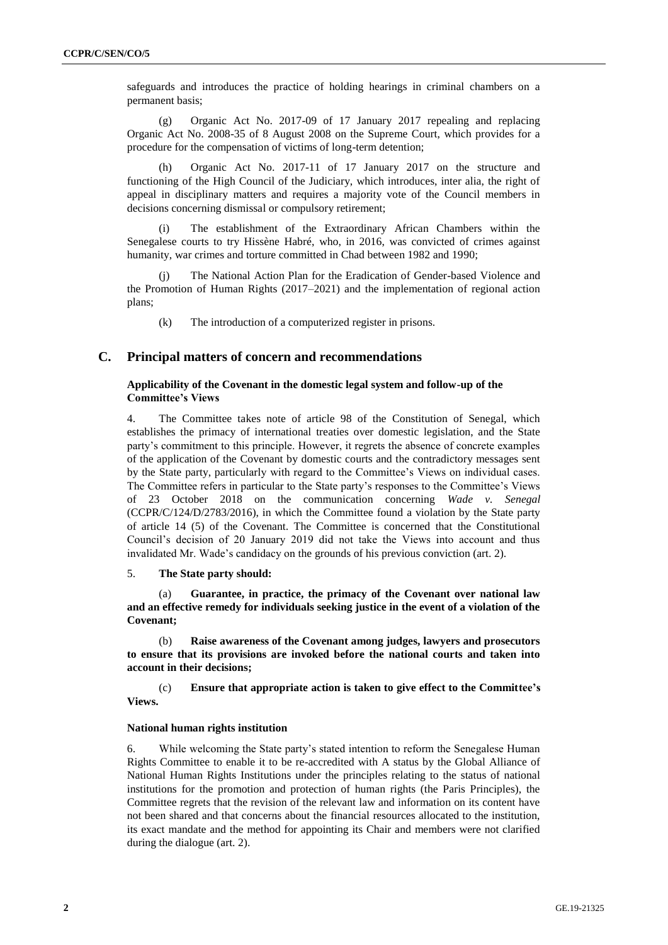safeguards and introduces the practice of holding hearings in criminal chambers on a permanent basis;

(g) Organic Act No. 2017-09 of 17 January 2017 repealing and replacing Organic Act No. 2008-35 of 8 August 2008 on the Supreme Court, which provides for a procedure for the compensation of victims of long-term detention;

Organic Act No. 2017-11 of 17 January 2017 on the structure and functioning of the High Council of the Judiciary, which introduces, inter alia, the right of appeal in disciplinary matters and requires a majority vote of the Council members in decisions concerning dismissal or compulsory retirement;

(i) The establishment of the Extraordinary African Chambers within the Senegalese courts to try Hissène Habré, who, in 2016, was convicted of crimes against humanity, war crimes and torture committed in Chad between 1982 and 1990;

The National Action Plan for the Eradication of Gender-based Violence and the Promotion of Human Rights (2017–2021) and the implementation of regional action plans;

(k) The introduction of a computerized register in prisons.

## **C. Principal matters of concern and recommendations**

## **Applicability of the Covenant in the domestic legal system and follow-up of the Committee's Views**

4. The Committee takes note of article 98 of the Constitution of Senegal, which establishes the primacy of international treaties over domestic legislation, and the State party's commitment to this principle. However, it regrets the absence of concrete examples of the application of the Covenant by domestic courts and the contradictory messages sent by the State party, particularly with regard to the Committee's Views on individual cases. The Committee refers in particular to the State party's responses to the Committee's Views of 23 October 2018 on the communication concerning *Wade v. Senegal* (CCPR/C/124/D/2783/2016), in which the Committee found a violation by the State party of article 14 (5) of the Covenant. The Committee is concerned that the Constitutional Council's decision of 20 January 2019 did not take the Views into account and thus invalidated Mr. Wade's candidacy on the grounds of his previous conviction (art. 2).

### 5. **The State party should:**

(a) **Guarantee, in practice, the primacy of the Covenant over national law and an effective remedy for individuals seeking justice in the event of a violation of the Covenant;**

(b) **Raise awareness of the Covenant among judges, lawyers and prosecutors to ensure that its provisions are invoked before the national courts and taken into account in their decisions;**

(c) **Ensure that appropriate action is taken to give effect to the Committee's Views.**

#### **National human rights institution**

6. While welcoming the State party's stated intention to reform the Senegalese Human Rights Committee to enable it to be re-accredited with A status by the Global Alliance of National Human Rights Institutions under the principles relating to the status of national institutions for the promotion and protection of human rights (the Paris Principles), the Committee regrets that the revision of the relevant law and information on its content have not been shared and that concerns about the financial resources allocated to the institution, its exact mandate and the method for appointing its Chair and members were not clarified during the dialogue (art. 2).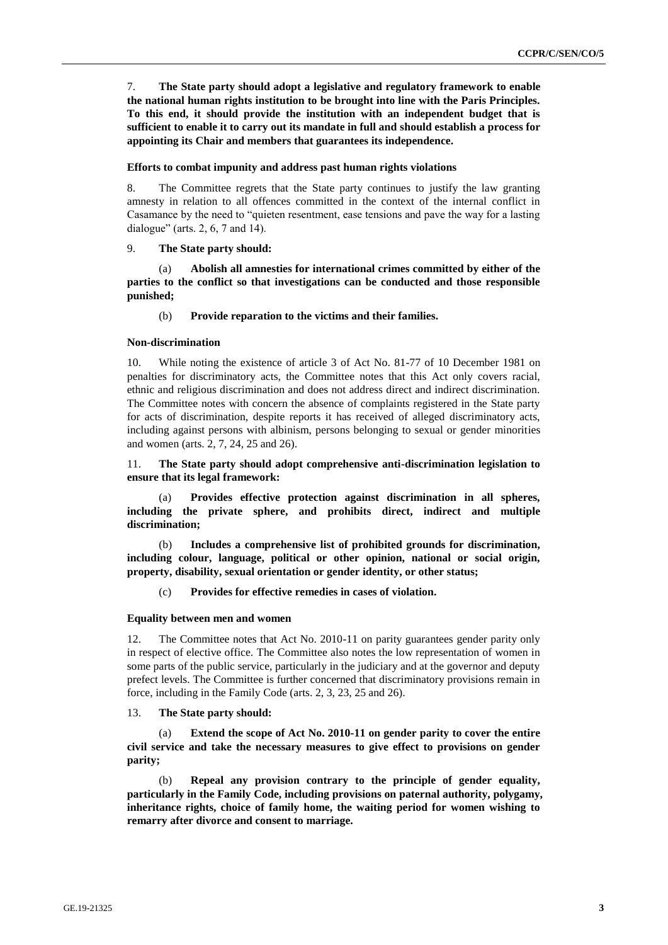7. **The State party should adopt a legislative and regulatory framework to enable the national human rights institution to be brought into line with the Paris Principles. To this end, it should provide the institution with an independent budget that is sufficient to enable it to carry out its mandate in full and should establish a process for appointing its Chair and members that guarantees its independence.**

#### **Efforts to combat impunity and address past human rights violations**

8. The Committee regrets that the State party continues to justify the law granting amnesty in relation to all offences committed in the context of the internal conflict in Casamance by the need to "quieten resentment, ease tensions and pave the way for a lasting dialogue" (arts. 2, 6, 7 and 14).

#### 9. **The State party should:**

(a) **Abolish all amnesties for international crimes committed by either of the parties to the conflict so that investigations can be conducted and those responsible punished;**

#### (b) **Provide reparation to the victims and their families.**

#### **Non-discrimination**

10. While noting the existence of article 3 of Act No. 81-77 of 10 December 1981 on penalties for discriminatory acts, the Committee notes that this Act only covers racial, ethnic and religious discrimination and does not address direct and indirect discrimination. The Committee notes with concern the absence of complaints registered in the State party for acts of discrimination, despite reports it has received of alleged discriminatory acts, including against persons with albinism, persons belonging to sexual or gender minorities and women (arts. 2, 7, 24, 25 and 26).

#### 11. **The State party should adopt comprehensive anti-discrimination legislation to ensure that its legal framework:**

(a) **Provides effective protection against discrimination in all spheres, including the private sphere, and prohibits direct, indirect and multiple discrimination;**

(b) **Includes a comprehensive list of prohibited grounds for discrimination, including colour, language, political or other opinion, national or social origin, property, disability, sexual orientation or gender identity, or other status;**

#### (c) **Provides for effective remedies in cases of violation.**

#### **Equality between men and women**

12. The Committee notes that Act No. 2010-11 on parity guarantees gender parity only in respect of elective office. The Committee also notes the low representation of women in some parts of the public service, particularly in the judiciary and at the governor and deputy prefect levels. The Committee is further concerned that discriminatory provisions remain in force, including in the Family Code (arts. 2, 3, 23, 25 and 26).

#### 13. **The State party should:**

(a) **Extend the scope of Act No. 2010-11 on gender parity to cover the entire civil service and take the necessary measures to give effect to provisions on gender parity;**

(b) **Repeal any provision contrary to the principle of gender equality, particularly in the Family Code, including provisions on paternal authority, polygamy, inheritance rights, choice of family home, the waiting period for women wishing to remarry after divorce and consent to marriage.**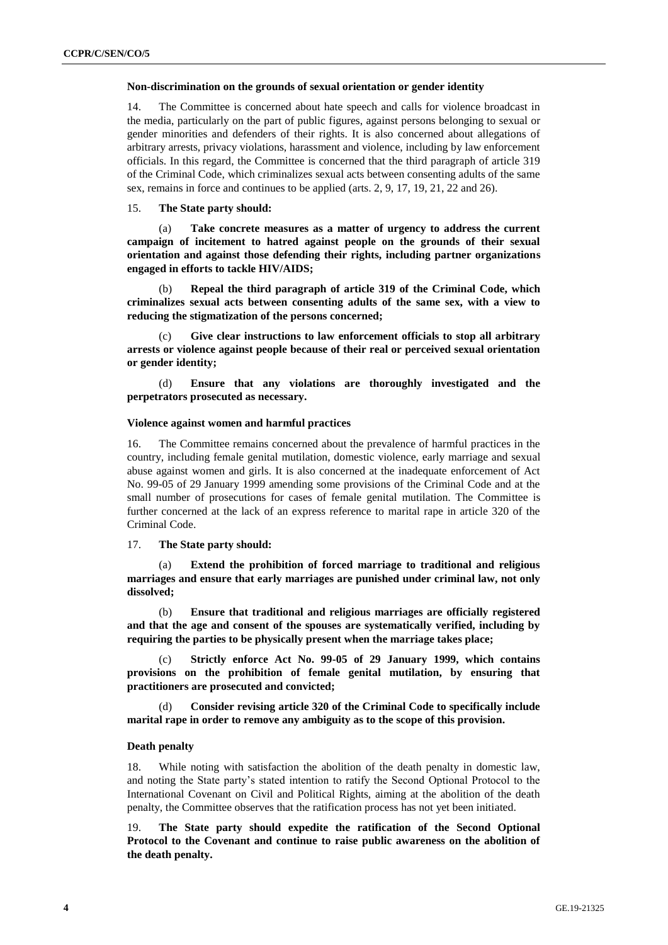#### **Non-discrimination on the grounds of sexual orientation or gender identity**

14. The Committee is concerned about hate speech and calls for violence broadcast in the media, particularly on the part of public figures, against persons belonging to sexual or gender minorities and defenders of their rights. It is also concerned about allegations of arbitrary arrests, privacy violations, harassment and violence, including by law enforcement officials. In this regard, the Committee is concerned that the third paragraph of article 319 of the Criminal Code, which criminalizes sexual acts between consenting adults of the same sex, remains in force and continues to be applied (arts. 2, 9, 17, 19, 21, 22 and 26).

#### 15. **The State party should:**

(a) **Take concrete measures as a matter of urgency to address the current campaign of incitement to hatred against people on the grounds of their sexual orientation and against those defending their rights, including partner organizations engaged in efforts to tackle HIV/AIDS;**

(b) **Repeal the third paragraph of article 319 of the Criminal Code, which criminalizes sexual acts between consenting adults of the same sex, with a view to reducing the stigmatization of the persons concerned;**

Give clear instructions to law enforcement officials to stop all arbitrary **arrests or violence against people because of their real or perceived sexual orientation or gender identity;**

(d) **Ensure that any violations are thoroughly investigated and the perpetrators prosecuted as necessary.**

## **Violence against women and harmful practices**

16. The Committee remains concerned about the prevalence of harmful practices in the country, including female genital mutilation, domestic violence, early marriage and sexual abuse against women and girls. It is also concerned at the inadequate enforcement of Act No. 99-05 of 29 January 1999 amending some provisions of the Criminal Code and at the small number of prosecutions for cases of female genital mutilation. The Committee is further concerned at the lack of an express reference to marital rape in article 320 of the Criminal Code.

17. **The State party should:**

(a) **Extend the prohibition of forced marriage to traditional and religious marriages and ensure that early marriages are punished under criminal law, not only dissolved;**

(b) **Ensure that traditional and religious marriages are officially registered and that the age and consent of the spouses are systematically verified, including by requiring the parties to be physically present when the marriage takes place;**

(c) **Strictly enforce Act No. 99-05 of 29 January 1999, which contains provisions on the prohibition of female genital mutilation, by ensuring that practitioners are prosecuted and convicted;**

(d) **Consider revising article 320 of the Criminal Code to specifically include marital rape in order to remove any ambiguity as to the scope of this provision.**

#### **Death penalty**

18. While noting with satisfaction the abolition of the death penalty in domestic law, and noting the State party's stated intention to ratify the Second Optional Protocol to the International Covenant on Civil and Political Rights, aiming at the abolition of the death penalty, the Committee observes that the ratification process has not yet been initiated.

19. **The State party should expedite the ratification of the Second Optional Protocol to the Covenant and continue to raise public awareness on the abolition of the death penalty.**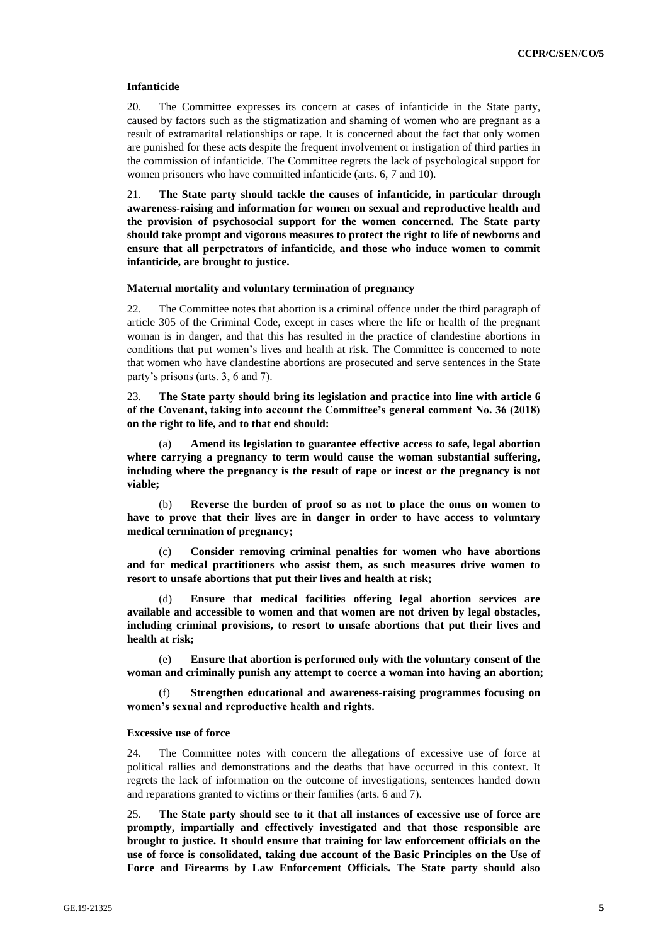#### **Infanticide**

20. The Committee expresses its concern at cases of infanticide in the State party, caused by factors such as the stigmatization and shaming of women who are pregnant as a result of extramarital relationships or rape. It is concerned about the fact that only women are punished for these acts despite the frequent involvement or instigation of third parties in the commission of infanticide. The Committee regrets the lack of psychological support for women prisoners who have committed infanticide (arts. 6, 7 and 10).

21. **The State party should tackle the causes of infanticide, in particular through awareness-raising and information for women on sexual and reproductive health and the provision of psychosocial support for the women concerned. The State party should take prompt and vigorous measures to protect the right to life of newborns and ensure that all perpetrators of infanticide, and those who induce women to commit infanticide, are brought to justice.**

#### **Maternal mortality and voluntary termination of pregnancy**

22. The Committee notes that abortion is a criminal offence under the third paragraph of article 305 of the Criminal Code, except in cases where the life or health of the pregnant woman is in danger, and that this has resulted in the practice of clandestine abortions in conditions that put women's lives and health at risk. The Committee is concerned to note that women who have clandestine abortions are prosecuted and serve sentences in the State party's prisons (arts. 3, 6 and 7).

23. **The State party should bring its legislation and practice into line with article 6 of the Covenant, taking into account the Committee's general comment No. 36 (2018) on the right to life, and to that end should:**

(a) **Amend its legislation to guarantee effective access to safe, legal abortion where carrying a pregnancy to term would cause the woman substantial suffering, including where the pregnancy is the result of rape or incest or the pregnancy is not viable;**

(b) **Reverse the burden of proof so as not to place the onus on women to have to prove that their lives are in danger in order to have access to voluntary medical termination of pregnancy;**

(c) **Consider removing criminal penalties for women who have abortions and for medical practitioners who assist them, as such measures drive women to resort to unsafe abortions that put their lives and health at risk;**

(d) **Ensure that medical facilities offering legal abortion services are available and accessible to women and that women are not driven by legal obstacles, including criminal provisions, to resort to unsafe abortions that put their lives and health at risk;**

(e) **Ensure that abortion is performed only with the voluntary consent of the woman and criminally punish any attempt to coerce a woman into having an abortion;**

(f) **Strengthen educational and awareness-raising programmes focusing on women's sexual and reproductive health and rights.**

#### **Excessive use of force**

24. The Committee notes with concern the allegations of excessive use of force at political rallies and demonstrations and the deaths that have occurred in this context. It regrets the lack of information on the outcome of investigations, sentences handed down and reparations granted to victims or their families (arts. 6 and 7).

25. **The State party should see to it that all instances of excessive use of force are promptly, impartially and effectively investigated and that those responsible are brought to justice. It should ensure that training for law enforcement officials on the use of force is consolidated, taking due account of the Basic Principles on the Use of Force and Firearms by Law Enforcement Officials. The State party should also**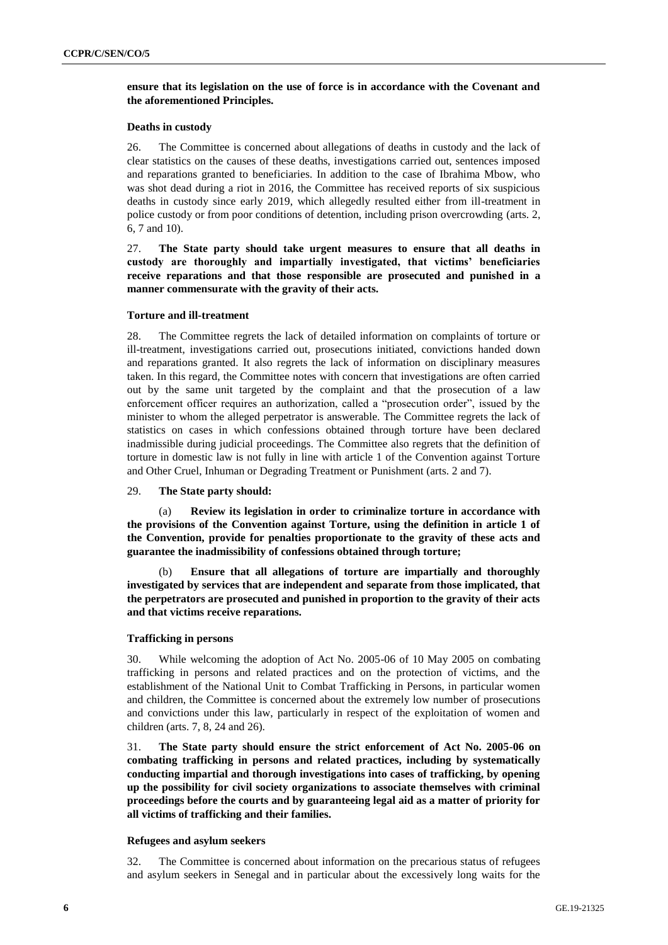## **ensure that its legislation on the use of force is in accordance with the Covenant and the aforementioned Principles.**

#### **Deaths in custody**

26. The Committee is concerned about allegations of deaths in custody and the lack of clear statistics on the causes of these deaths, investigations carried out, sentences imposed and reparations granted to beneficiaries. In addition to the case of Ibrahima Mbow, who was shot dead during a riot in 2016, the Committee has received reports of six suspicious deaths in custody since early 2019, which allegedly resulted either from ill-treatment in police custody or from poor conditions of detention, including prison overcrowding (arts. 2, 6, 7 and 10).

27. **The State party should take urgent measures to ensure that all deaths in custody are thoroughly and impartially investigated, that victims' beneficiaries receive reparations and that those responsible are prosecuted and punished in a manner commensurate with the gravity of their acts.**

#### **Torture and ill-treatment**

28. The Committee regrets the lack of detailed information on complaints of torture or ill-treatment, investigations carried out, prosecutions initiated, convictions handed down and reparations granted. It also regrets the lack of information on disciplinary measures taken. In this regard, the Committee notes with concern that investigations are often carried out by the same unit targeted by the complaint and that the prosecution of a law enforcement officer requires an authorization, called a "prosecution order", issued by the minister to whom the alleged perpetrator is answerable. The Committee regrets the lack of statistics on cases in which confessions obtained through torture have been declared inadmissible during judicial proceedings. The Committee also regrets that the definition of torture in domestic law is not fully in line with article 1 of the Convention against Torture and Other Cruel, Inhuman or Degrading Treatment or Punishment (arts. 2 and 7).

#### 29. **The State party should:**

(a) **Review its legislation in order to criminalize torture in accordance with the provisions of the Convention against Torture, using the definition in article 1 of the Convention, provide for penalties proportionate to the gravity of these acts and guarantee the inadmissibility of confessions obtained through torture;**

(b) **Ensure that all allegations of torture are impartially and thoroughly investigated by services that are independent and separate from those implicated, that the perpetrators are prosecuted and punished in proportion to the gravity of their acts and that victims receive reparations.**

#### **Trafficking in persons**

30. While welcoming the adoption of Act No. 2005-06 of 10 May 2005 on combating trafficking in persons and related practices and on the protection of victims, and the establishment of the National Unit to Combat Trafficking in Persons, in particular women and children, the Committee is concerned about the extremely low number of prosecutions and convictions under this law, particularly in respect of the exploitation of women and children (arts. 7, 8, 24 and 26).

31. **The State party should ensure the strict enforcement of Act No. 2005-06 on combating trafficking in persons and related practices, including by systematically conducting impartial and thorough investigations into cases of trafficking, by opening up the possibility for civil society organizations to associate themselves with criminal proceedings before the courts and by guaranteeing legal aid as a matter of priority for all victims of trafficking and their families.**

#### **Refugees and asylum seekers**

32. The Committee is concerned about information on the precarious status of refugees and asylum seekers in Senegal and in particular about the excessively long waits for the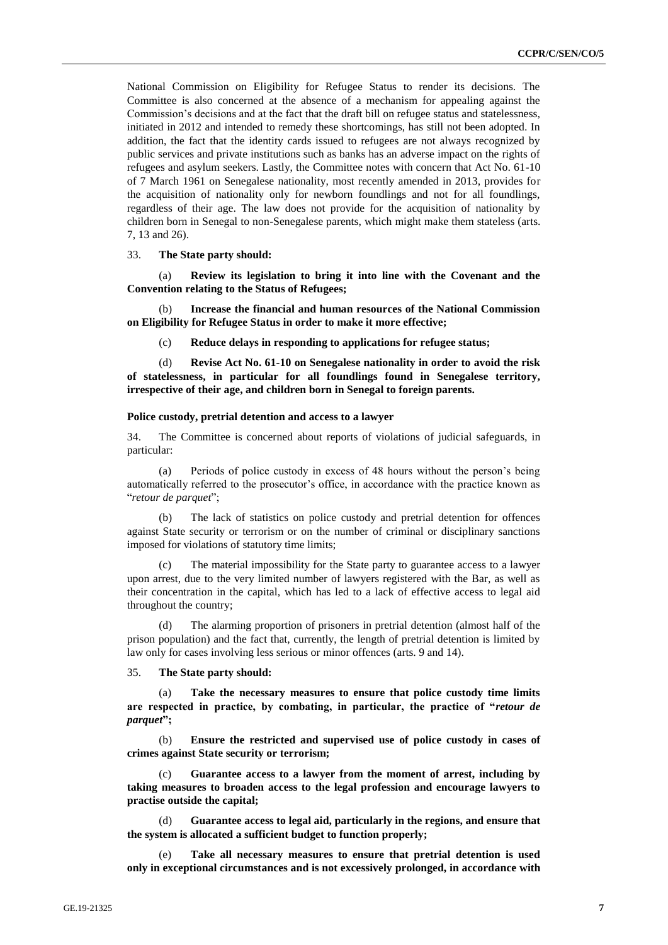National Commission on Eligibility for Refugee Status to render its decisions. The Committee is also concerned at the absence of a mechanism for appealing against the Commission's decisions and at the fact that the draft bill on refugee status and statelessness, initiated in 2012 and intended to remedy these shortcomings, has still not been adopted. In addition, the fact that the identity cards issued to refugees are not always recognized by public services and private institutions such as banks has an adverse impact on the rights of refugees and asylum seekers. Lastly, the Committee notes with concern that Act No. 61-10 of 7 March 1961 on Senegalese nationality, most recently amended in 2013, provides for the acquisition of nationality only for newborn foundlings and not for all foundlings, regardless of their age. The law does not provide for the acquisition of nationality by children born in Senegal to non-Senegalese parents, which might make them stateless (arts. 7, 13 and 26).

33. **The State party should:**

(a) **Review its legislation to bring it into line with the Covenant and the Convention relating to the Status of Refugees;**

(b) **Increase the financial and human resources of the National Commission on Eligibility for Refugee Status in order to make it more effective;**

(c) **Reduce delays in responding to applications for refugee status;**

(d) **Revise Act No. 61-10 on Senegalese nationality in order to avoid the risk of statelessness, in particular for all foundlings found in Senegalese territory, irrespective of their age, and children born in Senegal to foreign parents.**

#### **Police custody, pretrial detention and access to a lawyer**

34. The Committee is concerned about reports of violations of judicial safeguards, in particular:

(a) Periods of police custody in excess of 48 hours without the person's being automatically referred to the prosecutor's office, in accordance with the practice known as "*retour de parquet*";

(b) The lack of statistics on police custody and pretrial detention for offences against State security or terrorism or on the number of criminal or disciplinary sanctions imposed for violations of statutory time limits;

(c) The material impossibility for the State party to guarantee access to a lawyer upon arrest, due to the very limited number of lawyers registered with the Bar, as well as their concentration in the capital, which has led to a lack of effective access to legal aid throughout the country;

(d) The alarming proportion of prisoners in pretrial detention (almost half of the prison population) and the fact that, currently, the length of pretrial detention is limited by law only for cases involving less serious or minor offences (arts. 9 and 14).

## 35. **The State party should:**

(a) **Take the necessary measures to ensure that police custody time limits are respected in practice, by combating, in particular, the practice of "***retour de parquet***";**

(b) **Ensure the restricted and supervised use of police custody in cases of crimes against State security or terrorism;**

(c) **Guarantee access to a lawyer from the moment of arrest, including by taking measures to broaden access to the legal profession and encourage lawyers to practise outside the capital;**

(d) **Guarantee access to legal aid, particularly in the regions, and ensure that the system is allocated a sufficient budget to function properly;**

Take all necessary measures to ensure that pretrial detention is used **only in exceptional circumstances and is not excessively prolonged, in accordance with**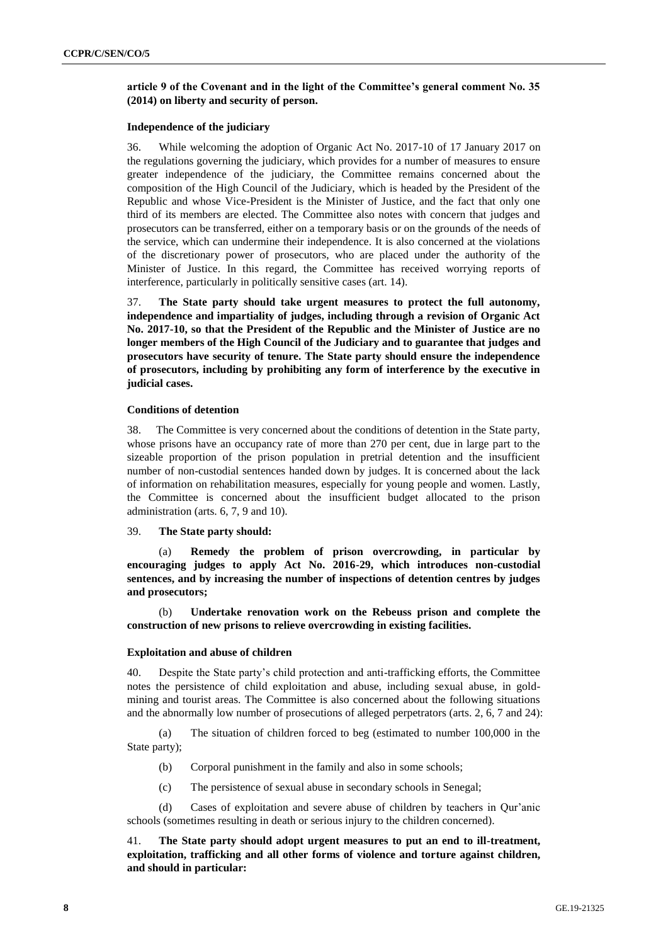## **article 9 of the Covenant and in the light of the Committee's general comment No. 35 (2014) on liberty and security of person.**

#### **Independence of the judiciary**

36. While welcoming the adoption of Organic Act No. 2017-10 of 17 January 2017 on the regulations governing the judiciary, which provides for a number of measures to ensure greater independence of the judiciary, the Committee remains concerned about the composition of the High Council of the Judiciary, which is headed by the President of the Republic and whose Vice-President is the Minister of Justice, and the fact that only one third of its members are elected. The Committee also notes with concern that judges and prosecutors can be transferred, either on a temporary basis or on the grounds of the needs of the service, which can undermine their independence. It is also concerned at the violations of the discretionary power of prosecutors, who are placed under the authority of the Minister of Justice. In this regard, the Committee has received worrying reports of interference, particularly in politically sensitive cases (art. 14).

37. **The State party should take urgent measures to protect the full autonomy, independence and impartiality of judges, including through a revision of Organic Act No. 2017-10, so that the President of the Republic and the Minister of Justice are no longer members of the High Council of the Judiciary and to guarantee that judges and prosecutors have security of tenure. The State party should ensure the independence of prosecutors, including by prohibiting any form of interference by the executive in judicial cases.**

### **Conditions of detention**

38. The Committee is very concerned about the conditions of detention in the State party, whose prisons have an occupancy rate of more than 270 per cent, due in large part to the sizeable proportion of the prison population in pretrial detention and the insufficient number of non-custodial sentences handed down by judges. It is concerned about the lack of information on rehabilitation measures, especially for young people and women. Lastly, the Committee is concerned about the insufficient budget allocated to the prison administration (arts. 6, 7, 9 and 10).

#### 39. **The State party should:**

(a) **Remedy the problem of prison overcrowding, in particular by encouraging judges to apply Act No. 2016-29, which introduces non-custodial sentences, and by increasing the number of inspections of detention centres by judges and prosecutors;**

(b) **Undertake renovation work on the Rebeuss prison and complete the construction of new prisons to relieve overcrowding in existing facilities.**

## **Exploitation and abuse of children**

40. Despite the State party's child protection and anti-trafficking efforts, the Committee notes the persistence of child exploitation and abuse, including sexual abuse, in goldmining and tourist areas. The Committee is also concerned about the following situations and the abnormally low number of prosecutions of alleged perpetrators (arts. 2, 6, 7 and 24):

(a) The situation of children forced to beg (estimated to number 100,000 in the State party);

- (b) Corporal punishment in the family and also in some schools;
- (c) The persistence of sexual abuse in secondary schools in Senegal;

(d) Cases of exploitation and severe abuse of children by teachers in Qur'anic schools (sometimes resulting in death or serious injury to the children concerned).

41. **The State party should adopt urgent measures to put an end to ill-treatment, exploitation, trafficking and all other forms of violence and torture against children, and should in particular:**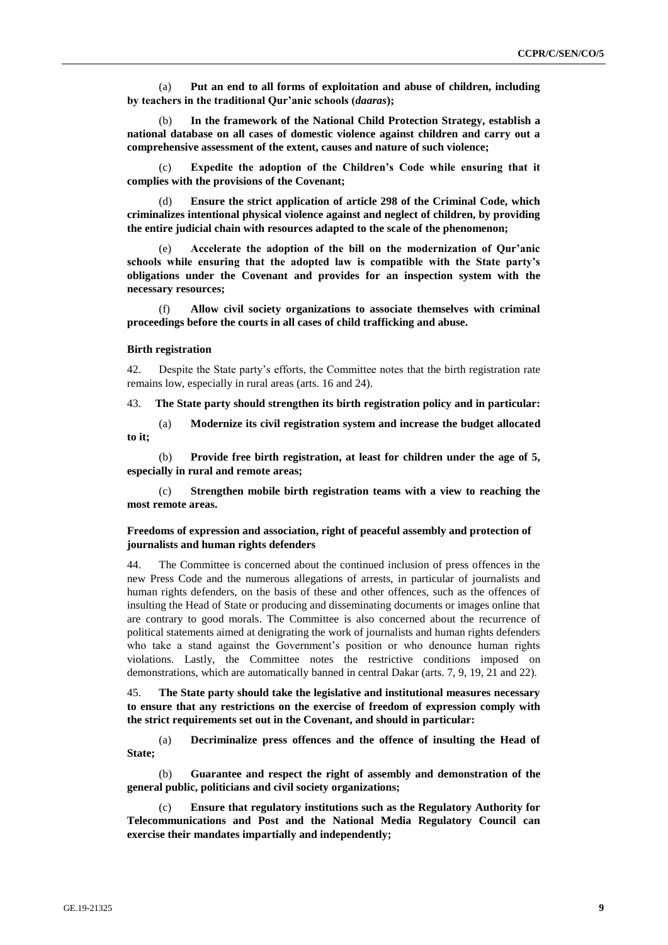(a) **Put an end to all forms of exploitation and abuse of children, including by teachers in the traditional Qur'anic schools (***daaras***);**

(b) **In the framework of the National Child Protection Strategy, establish a national database on all cases of domestic violence against children and carry out a comprehensive assessment of the extent, causes and nature of such violence;**

Expedite the adoption of the Children's Code while ensuring that it **complies with the provisions of the Covenant;**

(d) **Ensure the strict application of article 298 of the Criminal Code, which criminalizes intentional physical violence against and neglect of children, by providing the entire judicial chain with resources adapted to the scale of the phenomenon;**

Accelerate the adoption of the bill on the modernization of Qur'anic **schools while ensuring that the adopted law is compatible with the State party's obligations under the Covenant and provides for an inspection system with the necessary resources;**

(f) **Allow civil society organizations to associate themselves with criminal proceedings before the courts in all cases of child trafficking and abuse.**

#### **Birth registration**

42. Despite the State party's efforts, the Committee notes that the birth registration rate remains low, especially in rural areas (arts. 16 and 24).

43. **The State party should strengthen its birth registration policy and in particular:**

(a) **Modernize its civil registration system and increase the budget allocated to it;**

(b) **Provide free birth registration, at least for children under the age of 5, especially in rural and remote areas;**

(c) **Strengthen mobile birth registration teams with a view to reaching the most remote areas.**

**Freedoms of expression and association, right of peaceful assembly and protection of journalists and human rights defenders**

44. The Committee is concerned about the continued inclusion of press offences in the new Press Code and the numerous allegations of arrests, in particular of journalists and human rights defenders, on the basis of these and other offences, such as the offences of insulting the Head of State or producing and disseminating documents or images online that are contrary to good morals. The Committee is also concerned about the recurrence of political statements aimed at denigrating the work of journalists and human rights defenders who take a stand against the Government's position or who denounce human rights violations. Lastly, the Committee notes the restrictive conditions imposed on demonstrations, which are automatically banned in central Dakar (arts. 7, 9, 19, 21 and 22).

45. **The State party should take the legislative and institutional measures necessary to ensure that any restrictions on the exercise of freedom of expression comply with the strict requirements set out in the Covenant, and should in particular:**

(a) **Decriminalize press offences and the offence of insulting the Head of State;**

(b) **Guarantee and respect the right of assembly and demonstration of the general public, politicians and civil society organizations;**

(c) **Ensure that regulatory institutions such as the Regulatory Authority for Telecommunications and Post and the National Media Regulatory Council can exercise their mandates impartially and independently;**